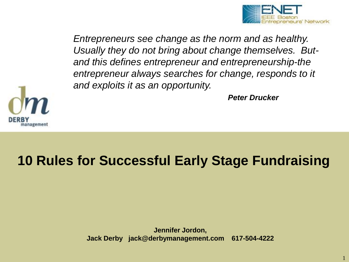

*Entrepreneurs see change as the norm and as healthy. Usually they do not bring about change themselves. Butand this defines entrepreneur and entrepreneurship-the entrepreneur always searches for change, responds to it and exploits it as an opportunity.*

*Peter Drucker*



# **10 Rules for Successful Early Stage Fundraising**

**Jennifer Jordon, Jack Derby jack@derbymanagement.com 617-504-4222**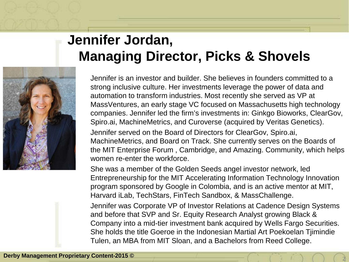## **Jennifer Jordan, Managing Director, Picks & Shovels**



Jennifer is an investor and builder. She believes in founders committed to a strong inclusive culture. Her investments leverage the power of data and automation to transform industries. Most recently she served as VP at MassVentures, an early stage VC focused on Massachusetts high technology companies. Jennifer led the firm's investments in: Ginkgo Bioworks, ClearGov, Spiro.ai, MachineMetrics, and Curoverse (acquired by Veritas Genetics). Jennifer served on the Board of Directors for ClearGov, Spiro.ai,

MachineMetrics, and Board on Track. She currently serves on the Boards of the MIT Enterprise Forum , Cambridge, and Amazing. Community, which helps women re-enter the workforce.

She was a member of the Golden Seeds angel investor network, led Entrepreneurship for the MIT Accelerating Information Technology Innovation program sponsored by Google in Colombia, and is an active mentor at MIT, Harvard iLab, TechStars, FinTech Sandbox, & MassChallenge. Jennifer was Corporate VP of Investor Relations at Cadence Design Systems and before that SVP and Sr. Equity Research Analyst growing Black & Company into a mid-tier investment bank acquired by Wells Fargo Securities. She holds the title Goeroe in the Indonesian Martial Art Poekoelan Tjimindie Tulen, an MBA from MIT Sloan, and a Bachelors from Reed College.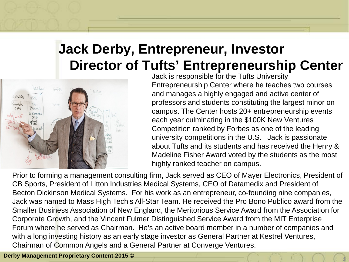## **Jack Derby, Entrepreneur, Investor Director of Tufts' Entrepreneurship Center**



Jack is responsible for the Tufts University Entrepreneurship Center where he teaches two courses and manages a highly engaged and active center of professors and students constituting the largest minor on campus. The Center hosts 20+ entrepreneurship events each year culminating in the \$100K New Ventures Competition ranked by Forbes as one of the leading university competitions in the U.S. Jack is passionate about Tufts and its students and has received the Henry & Madeline Fisher Award voted by the students as the most highly ranked teacher on campus.

**3**

Prior to forming a management consulting firm, Jack served as CEO of Mayer Electronics, President of CB Sports, President of Litton Industries Medical Systems, CEO of Datamedix and President of Becton Dickinson Medical Systems. For his work as an entrepreneur, co-founding nine companies, Jack was named to Mass High Tech's All-Star Team. He received the Pro Bono Publico award from the Smaller Business Association of New England, the Meritorious Service Award from the Association for Corporate Growth, and the Vincent Fulmer Distinguished Service Award from the MIT Enterprise Forum where he served as Chairman. He's an active board member in a number of companies and with a long investing history as an early stage investor as General Partner at Kestrel Ventures, Chairman of Common Angels and a General Partner at Converge Ventures.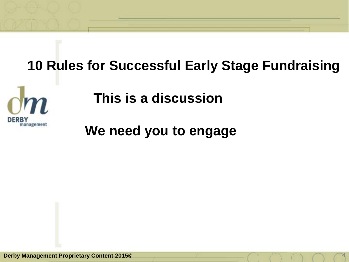# **10 Rules for Successful Early Stage Fundraising**



**This is a discussion** 

**We need you to engage**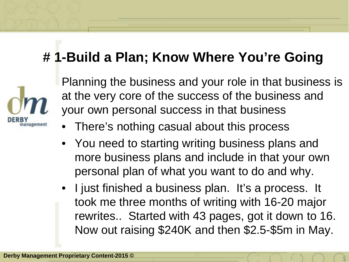# **# 1-Build a Plan; Know Where You're Going**



Planning the business and your role in that business is at the very core of the success of the business and your own personal success in that business

- There's nothing casual about this process
- You need to starting writing business plans and more business plans and include in that your own personal plan of what you want to do and why.
- I just finished a business plan. It's a process. It took me three months of writing with 16-20 major rewrites.. Started with 43 pages, got it down to 16. Now out raising \$240K and then \$2.5-\$5m in May.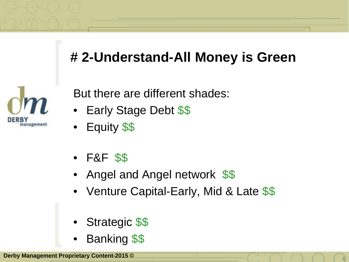# **# 2-Understand-All Money is Green**



But there are different shades:

- Early Stage Debt \$\$
- Equity \$\$
- F&F \$\$
- Angel and Angel network \$\$
- Venture Capital-Early, Mid & Late \$\$

**6**

- Strategic \$\$
- Banking \$\$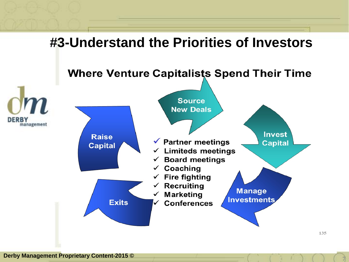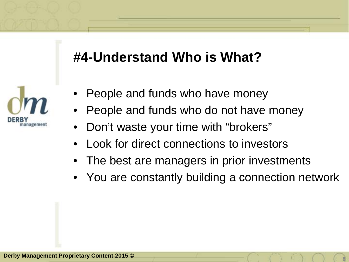### **#4-Understand Who is What?**

![](_page_7_Picture_1.jpeg)

- People and funds who have money
- People and funds who do not have money
- Don't waste your time with "brokers"
- Look for direct connections to investors
- The best are managers in prior investments
- You are constantly building a connection network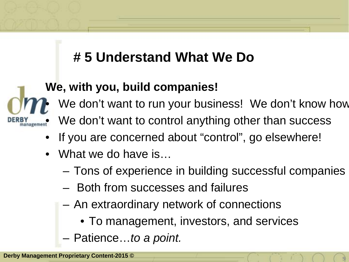# **# 5 Understand What We Do**

### **We, with you, build companies!**

We don't want to run your business! We don't know how

We don't want to control anything other than success

- If you are concerned about "control", go elsewhere!
- What we do have is...
	- Tons of experience in building successful companies

**9**

- Both from successes and failures
- An extraordinary network of connections
	- To management, investors, and services
- Patience…*to a point.*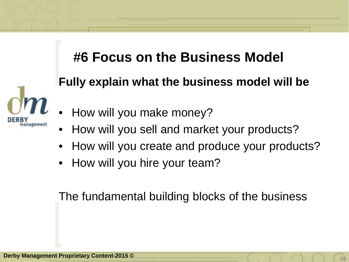### **#6 Focus on the Business Model**

#### **Fully explain what the business model will be**

![](_page_9_Picture_2.jpeg)

- How will you make money?
- How will you sell and market your products?
- How will you create and produce your products?
- How will you hire your team?

The fundamental building blocks of the business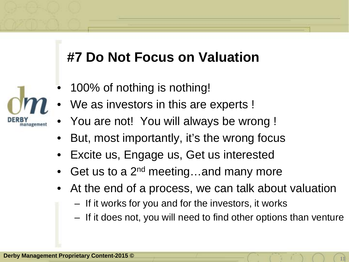### **#7 Do Not Focus on Valuation**

- 100% of nothing is nothing!
- We as investors in this are experts !
- You are not! You will always be wrong !
- But, most importantly, it's the wrong focus
- Excite us, Engage us, Get us interested
- Get us to a  $2^{nd}$  meeting...and many more
- At the end of a process, we can talk about valuation
	- If it works for you and for the investors, it works
	- If it does not, you will need to find other options than venture

![](_page_10_Picture_10.jpeg)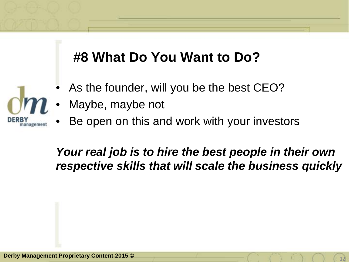## **#8 What Do You Want to Do?**

- As the founder, will you be the best CEO?
- Maybe, maybe not
- Be open on this and work with your investors

#### *Your real job is to hire the best people in their own respective skills that will scale the business quickly*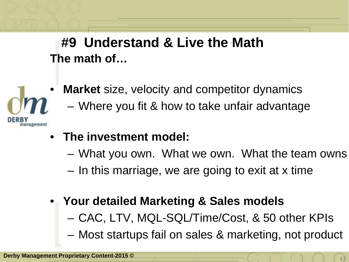**The math of… #9 Understand & Live the Math** 

![](_page_12_Picture_1.jpeg)

- **Market** size, velocity and competitor dynamics
	- Where you fit & how to take unfair advantage
- **The investment model:**
	- What you own. What we own. What the team owns
	- In this marriage, we are going to exit at x time
- **Your detailed Marketing & Sales models**
	- CAC, LTV, MQL-SQL/Time/Cost, & 50 other KPIs
	- Most startups fail on sales & marketing, not product